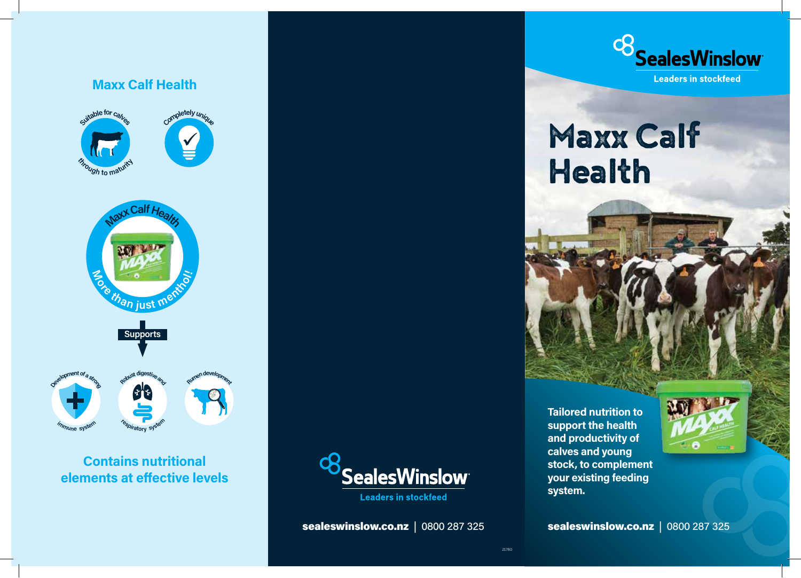

#### **Contains nutritional elements at effective levels**



**Leaders in stockfeed** 

sealeswinslow.co.nz|0800 287 325



# Maxx Calf Health



**Tailored nutrition to support the health and productivity of calves and young stock, to complement your existing feeding system.**



sealeswinslow.co.nz|0800 287 325